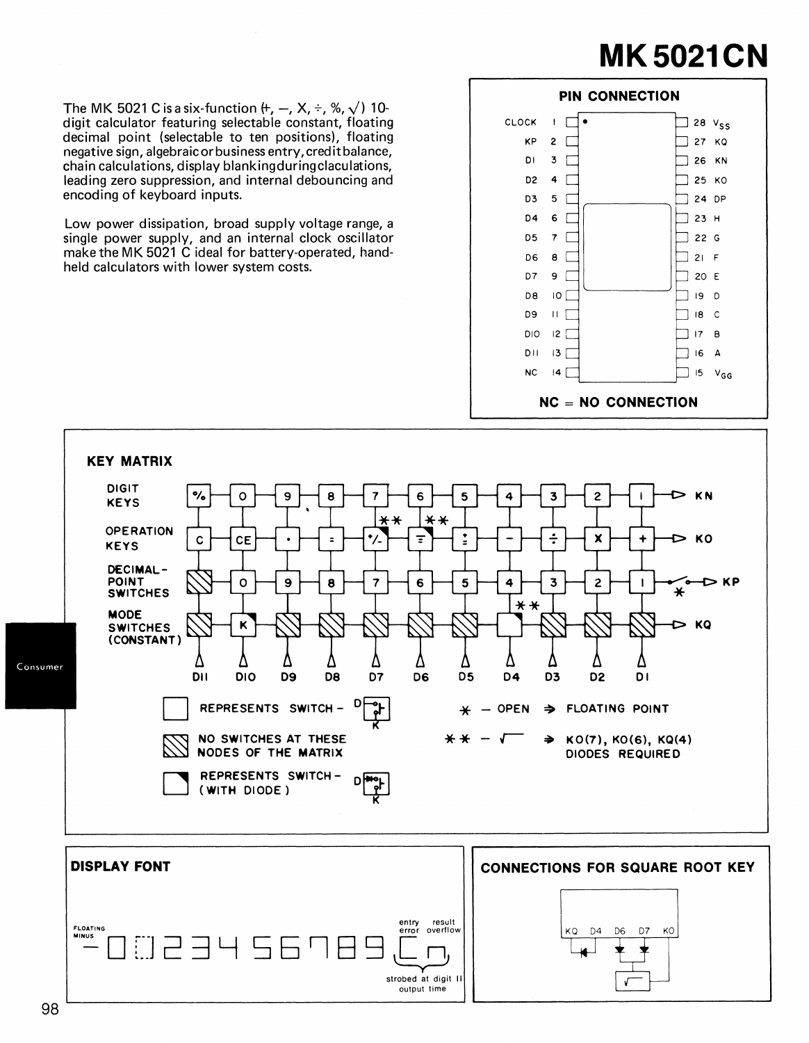## **MK5021CN**

The MK 5021 C is a six-function  $\theta$ ,  $-$ ,  $X$ ,  $\div$ ,  $\%$ ,  $\sqrt{ }$ ) 10digit calculator featuring selectable constant, floating decimal point (selectable to ten positions), floating negative sign, algebraic or business entry,creditbalance, chain calculations, display blankingduringclaculations, leading zero suppression, and internal debouncing and encoding of keyboard inputs.

Low power dissipation, broad supply voltage range, a single power supply, and an internal clock oscillator make the MK 5021 C ideal for battery-operated, handheld calculators with lower system costs.





strobed at digit 11 output time